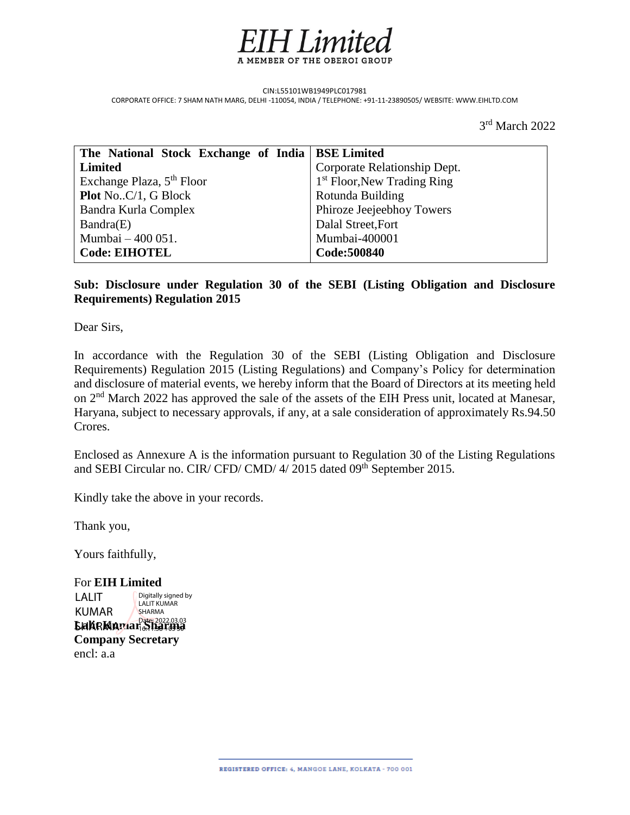

CIN:L55101WB1949PLC017981 CORPORATE OFFICE: 7 SHAM NATH MARG, DELHI -110054, INDIA / TELEPHONE: +91-11-23890505/ WEBSITE: WWW.EIHLTD.COM

 3 3rd March 2022

| The National Stock Exchange of India   BSE Limited |                               |
|----------------------------------------------------|-------------------------------|
| <b>Limited</b>                                     | Corporate Relationship Dept.  |
| Exchange Plaza, 5 <sup>th</sup> Floor              | $1st$ Floor, New Trading Ring |
| <b>Plot NoC/1, G Block</b>                         | Rotunda Building              |
| Bandra Kurla Complex                               | Phiroze Jeejeebhoy Towers     |
| Bandra(E)                                          | Dalal Street, Fort            |
| Mumbai – 400 051.                                  | Mumbai-400001                 |
| <b>Code: EIHOTEL</b>                               | Code:500840                   |

# **Sub: Disclosure under Regulation 30 of the SEBI (Listing Obligation and Disclosure Requirements) Regulation 2015**

Dear Sirs,

In accordance with the Regulation 30 of the SEBI (Listing Obligation and Disclosure Requirements) Regulation 2015 (Listing Regulations) and Company's Policy for determination and disclosure of material events, we hereby inform that the Board of Directors at its meeting held on 2nd March 2022 has approved the sale of the assets of the EIH Press unit, located at Manesar, Haryana, subject to necessary approvals, if any, at a sale consideration of approximately Rs.94.50 Crores.

Enclosed as Annexure A is the information pursuant to Regulation 30 of the Listing Regulations and SEBI Circular no. CIR/ CFD/ CMD/ 4/ 2015 dated 09<sup>th</sup> September 2015.

Kindly take the above in your records.

Thank you,

Yours faithfully,

For **EIH Limited LakeMamar Sharma Company Secretary** encl: a.a LALIT KUMAR Digitally signed by LALIT KUMAR SHARMA 16:11:38 +05'30'